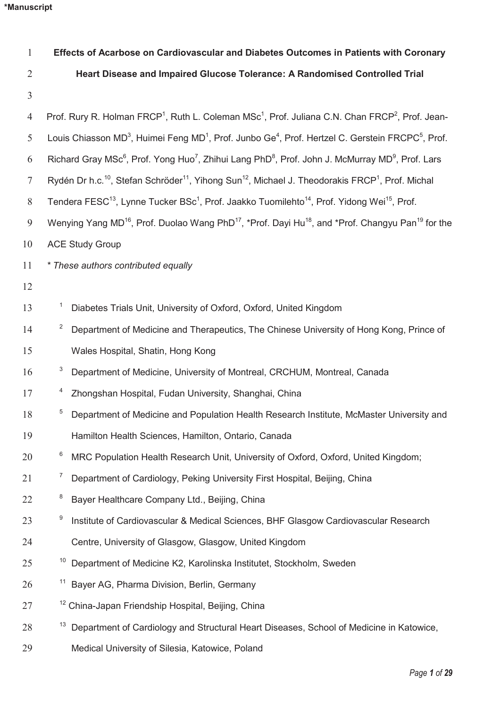| $\mathbf{1}$   | Effects of Acarbose on Cardiovascular and Diabetes Outcomes in Patients with Coronary                                                             |
|----------------|---------------------------------------------------------------------------------------------------------------------------------------------------|
| $\overline{2}$ | Heart Disease and Impaired Glucose Tolerance: A Randomised Controlled Trial                                                                       |
| $\mathfrak{Z}$ |                                                                                                                                                   |
| $\overline{4}$ | Prof. Rury R. Holman FRCP <sup>1</sup> , Ruth L. Coleman MSc <sup>1</sup> , Prof. Juliana C.N. Chan FRCP <sup>2</sup> , Prof. Jean-               |
| 5              | Louis Chiasson MD <sup>3</sup> , Huimei Feng MD <sup>1</sup> , Prof. Junbo Ge <sup>4</sup> , Prof. Hertzel C. Gerstein FRCPC <sup>5</sup> , Prof. |
| 6              | Richard Gray MSc <sup>6</sup> , Prof. Yong Huo <sup>7</sup> , Zhihui Lang PhD <sup>8</sup> , Prof. John J. McMurray MD <sup>9</sup> , Prof. Lars  |
| $\overline{7}$ | Rydén Dr h.c. <sup>10</sup> , Stefan Schröder <sup>11</sup> , Yihong Sun <sup>12</sup> , Michael J. Theodorakis FRCP <sup>1</sup> , Prof. Michal  |
| 8              | Tendera FESC <sup>13</sup> , Lynne Tucker BSc <sup>1</sup> , Prof. Jaakko Tuomilehto <sup>14</sup> , Prof. Yidong Wei <sup>15</sup> , Prof.       |
| 9              | Wenying Yang MD <sup>16</sup> , Prof. Duolao Wang PhD <sup>17</sup> , *Prof. Dayi Hu <sup>18</sup> , and *Prof. Changyu Pan <sup>19</sup> for the |
| 10             | <b>ACE Study Group</b>                                                                                                                            |
| 11             | * These authors contributed equally                                                                                                               |
| 12             |                                                                                                                                                   |
| 13             | Diabetes Trials Unit, University of Oxford, Oxford, United Kingdom                                                                                |
| 14             | $\overline{z}$<br>Department of Medicine and Therapeutics, The Chinese University of Hong Kong, Prince of                                         |
| 15             | Wales Hospital, Shatin, Hong Kong                                                                                                                 |
| 16             | 3<br>Department of Medicine, University of Montreal, CRCHUM, Montreal, Canada                                                                     |
| 17             | 4<br>Zhongshan Hospital, Fudan University, Shanghai, China                                                                                        |
| 18             | 5<br>Department of Medicine and Population Health Research Institute, McMaster University and                                                     |
| 19             | Hamilton Health Sciences, Hamilton, Ontario, Canada                                                                                               |
| 20             | 6<br>MRC Population Health Research Unit, University of Oxford, Oxford, United Kingdom;                                                           |
| 21             | 7<br>Department of Cardiology, Peking University First Hospital, Beijing, China                                                                   |
| 22             | 8<br>Bayer Healthcare Company Ltd., Beijing, China                                                                                                |
| 23             | 9<br>Institute of Cardiovascular & Medical Sciences, BHF Glasgow Cardiovascular Research                                                          |
| 24             | Centre, University of Glasgow, Glasgow, United Kingdom                                                                                            |
| 25             | 10<br>Department of Medicine K2, Karolinska Institutet, Stockholm, Sweden                                                                         |
| 26             | <sup>11</sup> Bayer AG, Pharma Division, Berlin, Germany                                                                                          |
| 27             | <sup>12</sup> China-Japan Friendship Hospital, Beijing, China                                                                                     |
| 28             | 13<br>Department of Cardiology and Structural Heart Diseases, School of Medicine in Katowice,                                                     |
| 29             | Medical University of Silesia, Katowice, Poland                                                                                                   |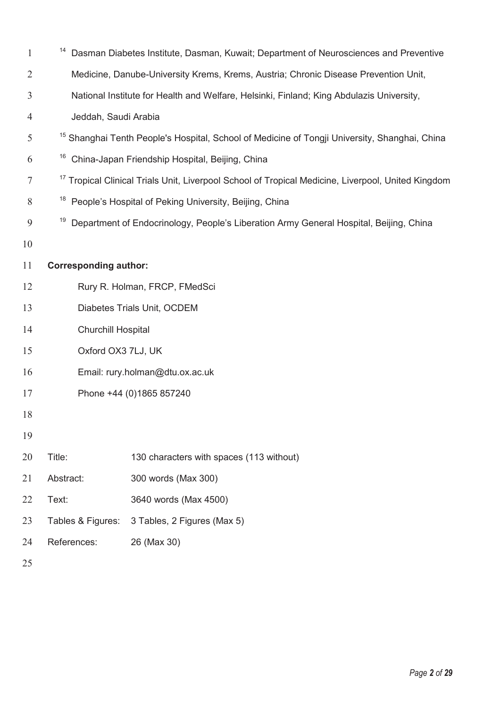| $\mathbf{1}$   | 14                           | Dasman Diabetes Institute, Dasman, Kuwait; Department of Neurosciences and Preventive                         |  |  |  |  |  |
|----------------|------------------------------|---------------------------------------------------------------------------------------------------------------|--|--|--|--|--|
| $\overline{2}$ |                              | Medicine, Danube-University Krems, Krems, Austria; Chronic Disease Prevention Unit,                           |  |  |  |  |  |
| 3              |                              | National Institute for Health and Welfare, Helsinki, Finland; King Abdulazis University,                      |  |  |  |  |  |
| $\overline{4}$ | Jeddah, Saudi Arabia         |                                                                                                               |  |  |  |  |  |
| 5              |                              | <sup>15</sup> Shanghai Tenth People's Hospital, School of Medicine of Tongji University, Shanghai, China      |  |  |  |  |  |
| 6              | 16                           | China-Japan Friendship Hospital, Beijing, China                                                               |  |  |  |  |  |
| 7              |                              | <sup>17</sup> Tropical Clinical Trials Unit, Liverpool School of Tropical Medicine, Liverpool, United Kingdom |  |  |  |  |  |
| 8              | 18                           | People's Hospital of Peking University, Beijing, China                                                        |  |  |  |  |  |
| 9              | 19                           | Department of Endocrinology, People's Liberation Army General Hospital, Beijing, China                        |  |  |  |  |  |
| 10             |                              |                                                                                                               |  |  |  |  |  |
| 11             | <b>Corresponding author:</b> |                                                                                                               |  |  |  |  |  |
| 12             |                              | Rury R. Holman, FRCP, FMedSci                                                                                 |  |  |  |  |  |
| 13             | Diabetes Trials Unit, OCDEM  |                                                                                                               |  |  |  |  |  |
| 14             | <b>Churchill Hospital</b>    |                                                                                                               |  |  |  |  |  |
| 15             | Oxford OX3 7LJ, UK           |                                                                                                               |  |  |  |  |  |
| 16             |                              | Email: rury.holman@dtu.ox.ac.uk                                                                               |  |  |  |  |  |
| 17             |                              | Phone +44 (0)1865 857240                                                                                      |  |  |  |  |  |
| 18             |                              |                                                                                                               |  |  |  |  |  |
| 19             |                              |                                                                                                               |  |  |  |  |  |
| 20             | Title:                       | 130 characters with spaces (113 without)                                                                      |  |  |  |  |  |
| 21             | Abstract:                    | 300 words (Max 300)                                                                                           |  |  |  |  |  |
| 22             | Text:                        | 3640 words (Max 4500)                                                                                         |  |  |  |  |  |
| 23             | Tables & Figures:            | 3 Tables, 2 Figures (Max 5)                                                                                   |  |  |  |  |  |
| 24             | References:                  | 26 (Max 30)                                                                                                   |  |  |  |  |  |
|                |                              |                                                                                                               |  |  |  |  |  |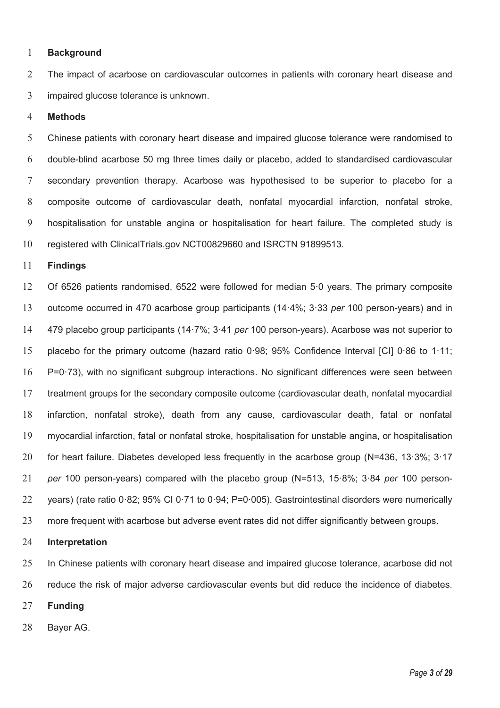### **Background**

2 The impact of acarbose on cardiovascular outcomes in patients with coronary heart disease and impaired glucose tolerance is unknown.

### **Methods**

Chinese patients with coronary heart disease and impaired glucose tolerance were randomised to double-blind acarbose 50 mg three times daily or placebo, added to standardised cardiovascular secondary prevention therapy. Acarbose was hypothesised to be superior to placebo for a composite outcome of cardiovascular death, nonfatal myocardial infarction, nonfatal stroke, hospitalisation for unstable angina or hospitalisation for heart failure. The completed study is registered with ClinicalTrials.gov NCT00829660 and ISRCTN 91899513.

### **Findings**

Of 6526 patients randomised, 6522 were followed for median 5·0 years. The primary composite outcome occurred in 470 acarbose group participants (14·4%; 3·33 *per* 100 person-years) and in 479 placebo group participants (14·7%; 3·41 *per* 100 person-years). Acarbose was not superior to placebo for the primary outcome (hazard ratio 0·98; 95% Confidence Interval [CI] 0·86 to 1·11; P=0·73), with no significant subgroup interactions. No significant differences were seen between treatment groups for the secondary composite outcome (cardiovascular death, nonfatal myocardial infarction, nonfatal stroke), death from any cause, cardiovascular death, fatal or nonfatal myocardial infarction, fatal or nonfatal stroke, hospitalisation for unstable angina, or hospitalisation 20 for heart failure. Diabetes developed less frequently in the acarbose group (N=436, 13·3%; 3·17 *per* 100 person-years) compared with the placebo group (N=513, 15·8%; 3·84 *per* 100 person-years) (rate ratio 0·82; 95% CI 0·71 to 0·94; P=0·005). Gastrointestinal disorders were numerically 23 more frequent with acarbose but adverse event rates did not differ significantly between groups.

#### **Interpretation**

In Chinese patients with coronary heart disease and impaired glucose tolerance, acarbose did not reduce the risk of major adverse cardiovascular events but did reduce the incidence of diabetes.

- **Funding**
- Bayer AG.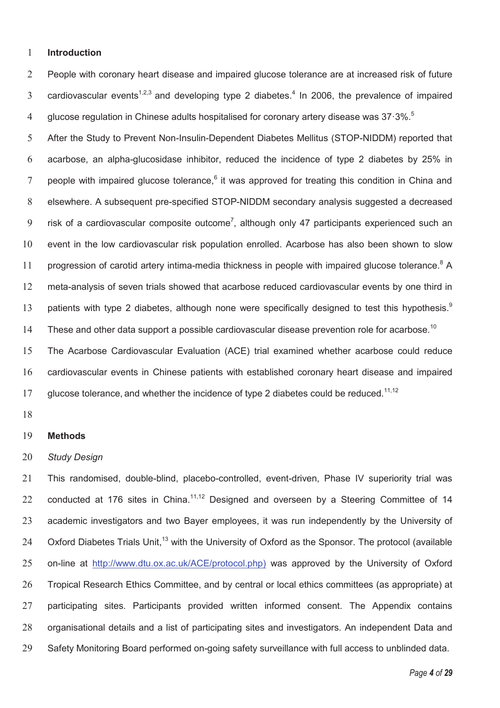#### 1 **Introduction**

2 People with coronary heart disease and impaired glucose tolerance are at increased risk of future 3 cardiovascular events<sup>1,2,3</sup> and developing type 2 diabetes.<sup>4</sup> In 2006, the prevalence of impaired glucose regulation in Chinese adults hospitalised for coronary artery disease was 37 $\cdot$ 3%. $^{5}$ 4

5 After the Study to Prevent Non-Insulin-Dependent Diabetes Mellitus (STOP-NIDDM) reported that 6 acarbose, an alpha-glucosidase inhibitor, reduced the incidence of type 2 diabetes by 25% in 7 people with impaired glucose tolerance,<sup>6</sup> it was approved for treating this condition in China and 8 elsewhere. A subsequent pre-specified STOP-NIDDM secondary analysis suggested a decreased 9  $\;$  risk of a cardiovascular composite outcome<sup>7</sup>, although only 47 participants experienced such an 10 event in the low cardiovascular risk population enrolled. Acarbose has also been shown to slow 11 progression of carotid artery intima-media thickness in people with impaired glucose tolerance.<sup>8</sup> A 12 meta-analysis of seven trials showed that acarbose reduced cardiovascular events by one third in patients with type 2 diabetes, although none were specifically designed to test this hypothesis.<sup>9</sup> 13 14 These and other data support a possible cardiovascular disease prevention role for acarbose.<sup>10</sup>

15 The Acarbose Cardiovascular Evaluation (ACE) trial examined whether acarbose could reduce 16 cardiovascular events in Chinese patients with established coronary heart disease and impaired 17 glucose tolerance, and whether the incidence of type 2 diabetes could be reduced.<sup>11,12</sup>

18

#### 19 **Methods**

### 20 *Study Design*

21 This randomised, double-blind, placebo-controlled, event-driven, Phase IV superiority trial was 22 conducted at 176 sites in China.<sup>11,12</sup> Designed and overseen by a Steering Committee of 14 23 academic investigators and two Bayer employees, it was run independently by the University of 24 Oxford Diabetes Trials Unit,<sup>13</sup> with the University of Oxford as the Sponsor. The protocol (available 25 on-line at http://www.dtu.ox.ac.uk/ACE/protocol.php) was approved by the University of Oxford 26 Tropical Research Ethics Committee, and by central or local ethics committees (as appropriate) at 27 participating sites. Participants provided written informed consent. The Appendix contains 28 organisational details and a list of participating sites and investigators. An independent Data and 29 Safety Monitoring Board performed on-going safety surveillance with full access to unblinded data.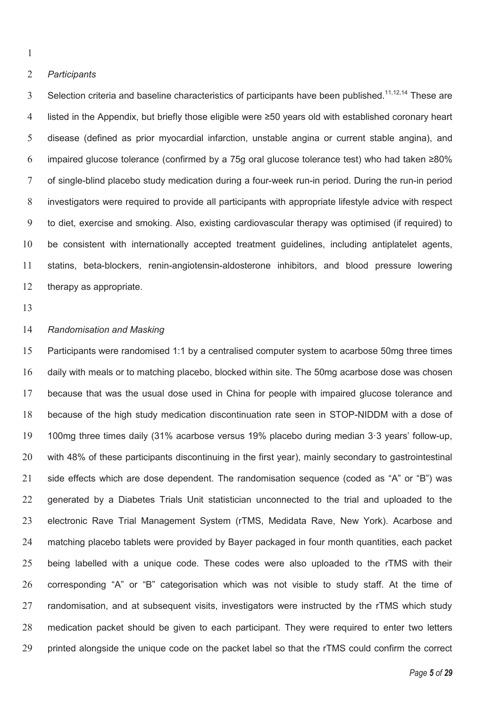### *Participants*

Selection criteria and baseline characteristics of participants have been published.<sup>11,12,14</sup> These are listed in the Appendix, but briefly those eligible were ≥50 years old with established coronary heart disease (defined as prior myocardial infarction, unstable angina or current stable angina), and impaired glucose tolerance (confirmed by a 75g oral glucose tolerance test) who had taken ≥80% of single-blind placebo study medication during a four-week run-in period. During the run-in period investigators were required to provide all participants with appropriate lifestyle advice with respect to diet, exercise and smoking. Also, existing cardiovascular therapy was optimised (if required) to be consistent with internationally accepted treatment guidelines, including antiplatelet agents, statins, beta-blockers, renin-angiotensin-aldosterone inhibitors, and blood pressure lowering therapy as appropriate.

# *Randomisation and Masking*

Participants were randomised 1:1 by a centralised computer system to acarbose 50mg three times daily with meals or to matching placebo, blocked within site. The 50mg acarbose dose was chosen because that was the usual dose used in China for people with impaired glucose tolerance and because of the high study medication discontinuation rate seen in STOP-NIDDM with a dose of 100mg three times daily (31% acarbose versus 19% placebo during median 3·3 years' follow-up, with 48% of these participants discontinuing in the first year), mainly secondary to gastrointestinal side effects which are dose dependent. The randomisation sequence (coded as "A" or "B") was generated by a Diabetes Trials Unit statistician unconnected to the trial and uploaded to the electronic Rave Trial Management System (rTMS, Medidata Rave, New York). Acarbose and matching placebo tablets were provided by Bayer packaged in four month quantities, each packet being labelled with a unique code. These codes were also uploaded to the rTMS with their corresponding "A" or "B" categorisation which was not visible to study staff. At the time of randomisation, and at subsequent visits, investigators were instructed by the rTMS which study medication packet should be given to each participant. They were required to enter two letters 29 printed alongside the unique code on the packet label so that the rTMS could confirm the correct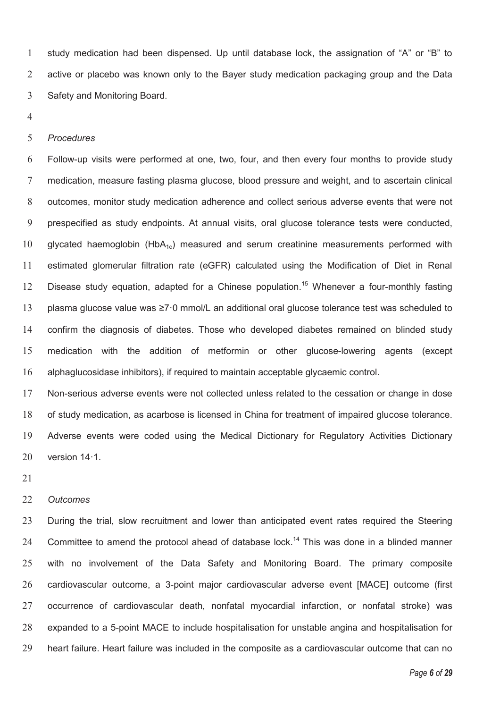study medication had been dispensed. Up until database lock, the assignation of "A" or "B" to 2 active or placebo was known only to the Bayer study medication packaging group and the Data Safety and Monitoring Board.

#### *Procedures*

Follow-up visits were performed at one, two, four, and then every four months to provide study medication, measure fasting plasma glucose, blood pressure and weight, and to ascertain clinical outcomes, monitor study medication adherence and collect serious adverse events that were not prespecified as study endpoints. At annual visits, oral glucose tolerance tests were conducted, 10 glycated haemoglobin (HbA<sub>1c</sub>) measured and serum creatinine measurements performed with estimated glomerular filtration rate (eGFR) calculated using the Modification of Diet in Renal 12 Disease study equation, adapted for a Chinese population.<sup>15</sup> Whenever a four-monthly fasting plasma glucose value was ≥7·0 mmol/L an additional oral glucose tolerance test was scheduled to confirm the diagnosis of diabetes. Those who developed diabetes remained on blinded study medication with the addition of metformin or other glucose-lowering agents (except alphaglucosidase inhibitors), if required to maintain acceptable glycaemic control.

Non-serious adverse events were not collected unless related to the cessation or change in dose of study medication, as acarbose is licensed in China for treatment of impaired glucose tolerance. Adverse events were coded using the Medical Dictionary for Regulatory Activities Dictionary version 14·1.

#### *Outcomes*

During the trial, slow recruitment and lower than anticipated event rates required the Steering 24 Committee to amend the protocol ahead of database lock.<sup>14</sup> This was done in a blinded manner with no involvement of the Data Safety and Monitoring Board. The primary composite cardiovascular outcome, a 3-point major cardiovascular adverse event [MACE] outcome (first occurrence of cardiovascular death, nonfatal myocardial infarction, or nonfatal stroke) was expanded to a 5-point MACE to include hospitalisation for unstable angina and hospitalisation for heart failure. Heart failure was included in the composite as a cardiovascular outcome that can no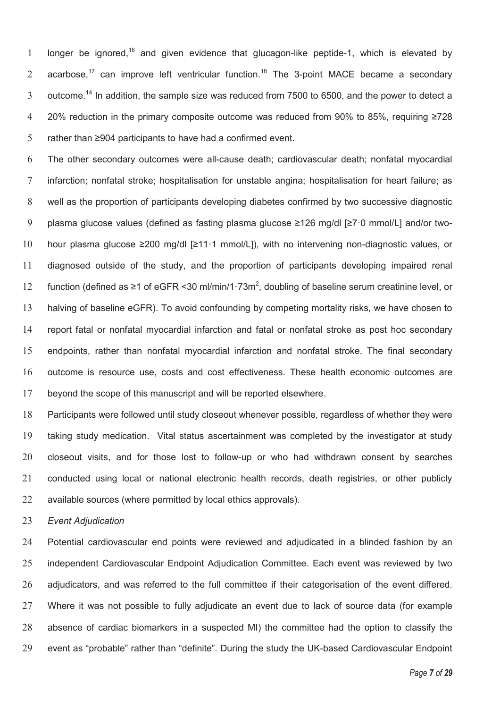1 longer be ignored,<sup>16</sup> and given evidence that glucagon-like peptide-1, which is elevated by 2 acarbose,<sup>17</sup> can improve left ventricular function.<sup>18</sup> The 3-point MACE became a secondary 3 outcome.<sup>14</sup> In addition, the sample size was reduced from 7500 to 6500, and the power to detect a 20% reduction in the primary composite outcome was reduced from 90% to 85%, requiring ≥728 rather than ≥904 participants to have had a confirmed event.

The other secondary outcomes were all-cause death; cardiovascular death; nonfatal myocardial infarction; nonfatal stroke; hospitalisation for unstable angina; hospitalisation for heart failure; as well as the proportion of participants developing diabetes confirmed by two successive diagnostic plasma glucose values (defined as fasting plasma glucose ≥126 mg/dl [≥7·0 mmol/L] and/or two-hour plasma glucose ≥200 mg/dl [≥11·1 mmol/L]), with no intervening non-diagnostic values, or diagnosed outside of the study, and the proportion of participants developing impaired renal 12 function (defined as ≥1 of eGFR <30 ml/min/1·73m<sup>2</sup>, doubling of baseline serum creatinine level, or halving of baseline eGFR). To avoid confounding by competing mortality risks, we have chosen to report fatal or nonfatal myocardial infarction and fatal or nonfatal stroke as post hoc secondary endpoints, rather than nonfatal myocardial infarction and nonfatal stroke. The final secondary outcome is resource use, costs and cost effectiveness. These health economic outcomes are beyond the scope of this manuscript and will be reported elsewhere.

Participants were followed until study closeout whenever possible, regardless of whether they were taking study medication. Vital status ascertainment was completed by the investigator at study closeout visits, and for those lost to follow-up or who had withdrawn consent by searches conducted using local or national electronic health records, death registries, or other publicly available sources (where permitted by local ethics approvals).

*Event Adjudication* 

Potential cardiovascular end points were reviewed and adjudicated in a blinded fashion by an independent Cardiovascular Endpoint Adjudication Committee. Each event was reviewed by two adjudicators, and was referred to the full committee if their categorisation of the event differed. Where it was not possible to fully adjudicate an event due to lack of source data (for example absence of cardiac biomarkers in a suspected MI) the committee had the option to classify the event as "probable" rather than "definite". During the study the UK-based Cardiovascular Endpoint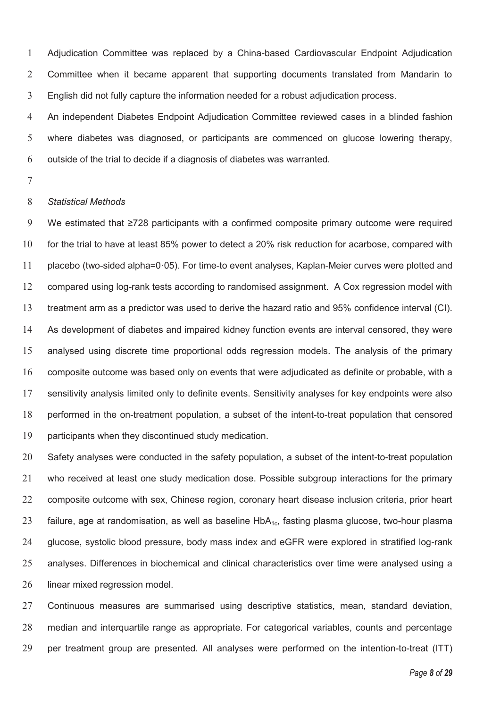Adjudication Committee was replaced by a China-based Cardiovascular Endpoint Adjudication Committee when it became apparent that supporting documents translated from Mandarin to English did not fully capture the information needed for a robust adjudication process.

An independent Diabetes Endpoint Adjudication Committee reviewed cases in a blinded fashion where diabetes was diagnosed, or participants are commenced on glucose lowering therapy, outside of the trial to decide if a diagnosis of diabetes was warranted.

# *Statistical Methods*

We estimated that ≥728 participants with a confirmed composite primary outcome were required for the trial to have at least 85% power to detect a 20% risk reduction for acarbose, compared with placebo (two-sided alpha=0·05). For time-to event analyses, Kaplan-Meier curves were plotted and compared using log-rank tests according to randomised assignment. A Cox regression model with treatment arm as a predictor was used to derive the hazard ratio and 95% confidence interval (CI). As development of diabetes and impaired kidney function events are interval censored, they were analysed using discrete time proportional odds regression models. The analysis of the primary composite outcome was based only on events that were adjudicated as definite or probable, with a sensitivity analysis limited only to definite events. Sensitivity analyses for key endpoints were also performed in the on-treatment population, a subset of the intent-to-treat population that censored participants when they discontinued study medication.

Safety analyses were conducted in the safety population, a subset of the intent-to-treat population who received at least one study medication dose. Possible subgroup interactions for the primary composite outcome with sex, Chinese region, coronary heart disease inclusion criteria, prior heart failure, age at randomisation, as well as baseline HbA1c, fasting plasma glucose, two-hour plasma glucose, systolic blood pressure, body mass index and eGFR were explored in stratified log-rank analyses. Differences in biochemical and clinical characteristics over time were analysed using a 26 linear mixed regression model.

Continuous measures are summarised using descriptive statistics, mean, standard deviation, median and interquartile range as appropriate. For categorical variables, counts and percentage per treatment group are presented. All analyses were performed on the intention-to-treat (ITT)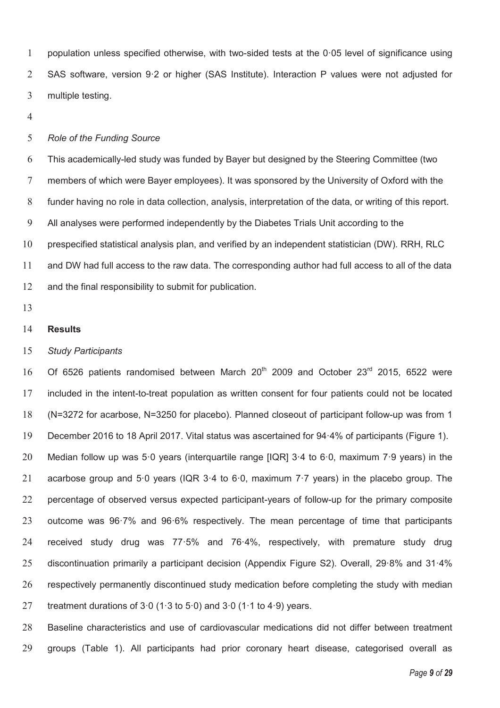population unless specified otherwise, with two-sided tests at the 0·05 level of significance using SAS software, version 9·2 or higher (SAS Institute). Interaction P values were not adjusted for multiple testing.

### *Role of the Funding Source*

This academically-led study was funded by Bayer but designed by the Steering Committee (two members of which were Bayer employees). It was sponsored by the University of Oxford with the funder having no role in data collection, analysis, interpretation of the data, or writing of this report. All analyses were performed independently by the Diabetes Trials Unit according to the prespecified statistical analysis plan, and verified by an independent statistician (DW). RRH, RLC and DW had full access to the raw data. The corresponding author had full access to all of the data and the final responsibility to submit for publication.

### **Results**

#### *Study Participants*

16 Of 6526 patients randomised between March  $20^{th}$  2009 and October  $23^{rd}$  2015, 6522 were included in the intent-to-treat population as written consent for four patients could not be located (N=3272 for acarbose, N=3250 for placebo). Planned closeout of participant follow-up was from 1 December 2016 to 18 April 2017. Vital status was ascertained for 94·4% of participants (Figure 1). Median follow up was 5·0 years (interquartile range [IQR] 3·4 to 6·0, maximum 7·9 years) in the acarbose group and 5·0 years (IQR 3·4 to 6·0, maximum 7·7 years) in the placebo group. The percentage of observed versus expected participant-years of follow-up for the primary composite outcome was 96·7% and 96·6% respectively. The mean percentage of time that participants received study drug was 77·5% and 76·4%, respectively, with premature study drug discontinuation primarily a participant decision (Appendix Figure S2). Overall, 29·8% and 31·4% respectively permanently discontinued study medication before completing the study with median 27 treatment durations of  $3.0$  (1.3 to  $5.0$ ) and  $3.0$  (1.1 to  $4.9$ ) years.

Baseline characteristics and use of cardiovascular medications did not differ between treatment groups (Table 1). All participants had prior coronary heart disease, categorised overall as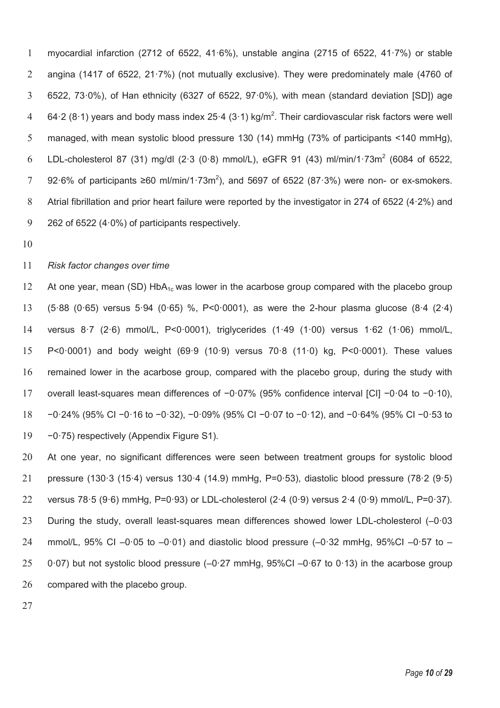myocardial infarction (2712 of 6522, 41·6%), unstable angina (2715 of 6522, 41·7%) or stable angina (1417 of 6522, 21·7%) (not mutually exclusive). They were predominately male (4760 of 6522, 73·0%), of Han ethnicity (6327 of 6522, 97·0%), with mean (standard deviation [SD]) age 4 64.2 (8.1) years and body mass index 25.4 (3.1) kg/m<sup>2</sup>. Their cardiovascular risk factors were well managed, with mean systolic blood pressure 130 (14) mmHg (73% of participants <140 mmHg), 6 LDL-cholesterol 87 (31) mg/dl (2.3 (0.8) mmol/L), eGFR 91 (43) ml/min/1.73m<sup>2</sup> (6084 of 6522, 7 92⋅6% of participants ≥60 ml/min/1⋅73m<sup>2</sup>), and 5697 of 6522 (87⋅3%) were non- or ex-smokers. 8 Atrial fibrillation and prior heart failure were reported by the investigator in 274 of 6522 (4.2%) and 262 of 6522 (4·0%) of participants respectively.

# *Risk factor changes over time*

12 At one year, mean (SD) HbA<sub>1c</sub> was lower in the acarbose group compared with the placebo group (5·88 (0·65) versus 5·94 (0·65) %, P<0·0001), as were the 2-hour plasma glucose (8·4 (2·4) versus 8·7 (2·6) mmol/L, P<0·0001), triglycerides (1·49 (1·00) versus 1·62 (1·06) mmol/L, P<0·0001) and body weight (69·9 (10·9) versus 70·8 (11·0) kg, P<0·0001). These values remained lower in the acarbose group, compared with the placebo group, during the study with overall least-squares mean differences of −0·07% (95% confidence interval [CI] −0·04 to −0·10), −0·24% (95% CI −0·16 to −0·32), −0·09% (95% CI −0·07 to −0·12), and −0·64% (95% CI −0·53 to −0·75) respectively (Appendix Figure S1).

At one year, no significant differences were seen between treatment groups for systolic blood pressure (130·3 (15·4) versus 130·4 (14.9) mmHg, P=0·53), diastolic blood pressure (78·2 (9·5) versus 78·5 (9·6) mmHg, P=0·93) or LDL-cholesterol (2·4 (0·9) versus 2·4 (0·9) mmol/L, P=0·37). During the study, overall least-squares mean differences showed lower LDL-cholesterol (–0·03 24 mmol/L, 95% CI –0.05 to –0.01) and diastolic blood pressure (–0.32 mmHg, 95%CI –0.57 to – 0·07) but not systolic blood pressure (–0·27 mmHg, 95%CI –0·67 to 0·13) in the acarbose group compared with the placebo group.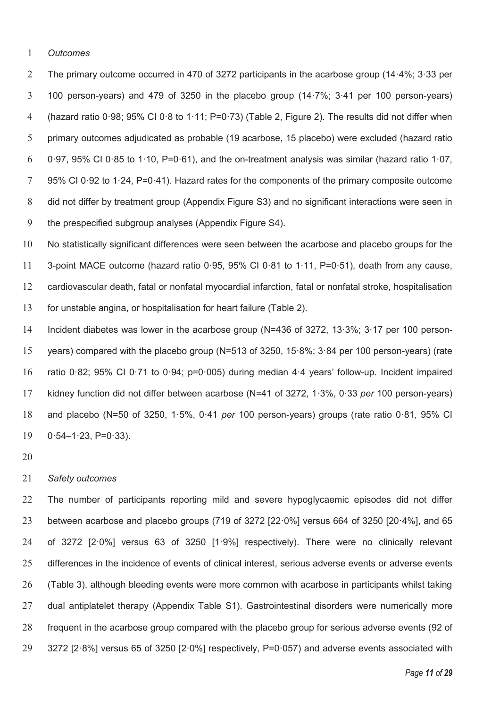*Outcomes* 

The primary outcome occurred in 470 of 3272 participants in the acarbose group (14·4%; 3·33 per 100 person-years) and 479 of 3250 in the placebo group (14·7%; 3·41 per 100 person-years) (hazard ratio 0·98; 95% CI 0·8 to 1·11; P=0·73) (Table 2, Figure 2). The results did not differ when primary outcomes adjudicated as probable (19 acarbose, 15 placebo) were excluded (hazard ratio 6 0.97, 95% CI 0.85 to 1.10, P=0.61), and the on-treatment analysis was similar (hazard ratio 1.07, 95% CI 0·92 to 1·24, P=0·41). Hazard rates for the components of the primary composite outcome did not differ by treatment group (Appendix Figure S3) and no significant interactions were seen in the prespecified subgroup analyses (Appendix Figure S4).

No statistically significant differences were seen between the acarbose and placebo groups for the 3-point MACE outcome (hazard ratio 0·95, 95% CI 0·81 to 1·11, P=0·51), death from any cause, cardiovascular death, fatal or nonfatal myocardial infarction, fatal or nonfatal stroke, hospitalisation for unstable angina, or hospitalisation for heart failure (Table 2).

Incident diabetes was lower in the acarbose group (N=436 of 3272, 13·3%; 3·17 per 100 person-years) compared with the placebo group (N=513 of 3250, 15·8%; 3·84 per 100 person-years) (rate ratio 0·82; 95% CI 0·71 to 0·94; p=0·005) during median 4·4 years' follow-up. Incident impaired kidney function did not differ between acarbose (N=41 of 3272, 1·3%, 0·33 *per* 100 person-years) and placebo (N=50 of 3250, 1·5%, 0·41 *per* 100 person-years) groups (rate ratio 0·81, 95% CI 0·54–1·23, P=0·33).

# *Safety outcomes*

The number of participants reporting mild and severe hypoglycaemic episodes did not differ between acarbose and placebo groups (719 of 3272 [22·0%] versus 664 of 3250 [20·4%], and 65 of 3272 [2·0%] versus 63 of 3250 [1·9%] respectively). There were no clinically relevant differences in the incidence of events of clinical interest, serious adverse events or adverse events (Table 3), although bleeding events were more common with acarbose in participants whilst taking dual antiplatelet therapy (Appendix Table S1). Gastrointestinal disorders were numerically more frequent in the acarbose group compared with the placebo group for serious adverse events (92 of 3272 [2·8%] versus 65 of 3250 [2·0%] respectively, P=0·057) and adverse events associated with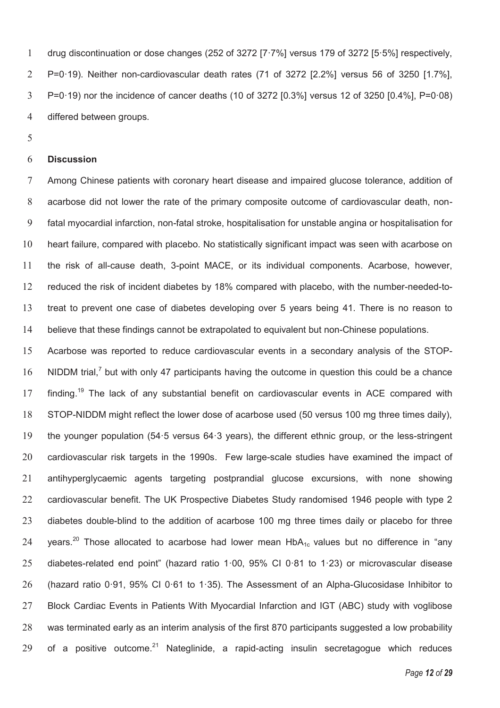drug discontinuation or dose changes (252 of 3272 [7·7%] versus 179 of 3272 [5·5%] respectively, P=0·19). Neither non-cardiovascular death rates (71 of 3272 [2.2%] versus 56 of 3250 [1.7%], P=0·19) nor the incidence of cancer deaths (10 of 3272 [0.3%] versus 12 of 3250 [0.4%], P=0·08) differed between groups.

### **Discussion**

Among Chinese patients with coronary heart disease and impaired glucose tolerance, addition of acarbose did not lower the rate of the primary composite outcome of cardiovascular death, non-fatal myocardial infarction, non-fatal stroke, hospitalisation for unstable angina or hospitalisation for heart failure, compared with placebo. No statistically significant impact was seen with acarbose on the risk of all-cause death, 3-point MACE, or its individual components. Acarbose, however, reduced the risk of incident diabetes by 18% compared with placebo, with the number-needed-to-treat to prevent one case of diabetes developing over 5 years being 41. There is no reason to believe that these findings cannot be extrapolated to equivalent but non-Chinese populations.

Acarbose was reported to reduce cardiovascular events in a secondary analysis of the STOP-16 NIDDM trial, $^7$  but with only 47 participants having the outcome in question this could be a chance 17 finding.<sup>19</sup> The lack of any substantial benefit on cardiovascular events in ACE compared with STOP-NIDDM might reflect the lower dose of acarbose used (50 versus 100 mg three times daily), the younger population (54·5 versus 64·3 years), the different ethnic group, or the less-stringent cardiovascular risk targets in the 1990s. Few large-scale studies have examined the impact of antihyperglycaemic agents targeting postprandial glucose excursions, with none showing cardiovascular benefit. The UK Prospective Diabetes Study randomised 1946 people with type 2 23 diabetes double-blind to the addition of acarbose 100 mg three times daily or placebo for three 24 vears.<sup>20</sup> Those allocated to acarbose had lower mean  $HbA_{1c}$  values but no difference in "any diabetes-related end point" (hazard ratio 1·00, 95% CI 0·81 to 1·23) or microvascular disease (hazard ratio 0·91, 95% CI 0·61 to 1·35). The Assessment of an Alpha-Glucosidase Inhibitor to Block Cardiac Events in Patients With Myocardial Infarction and IGT (ABC) study with voglibose was terminated early as an interim analysis of the first 870 participants suggested a low probability 29 of a positive outcome.<sup>21</sup> Nateglinide, a rapid-acting insulin secretagogue which reduces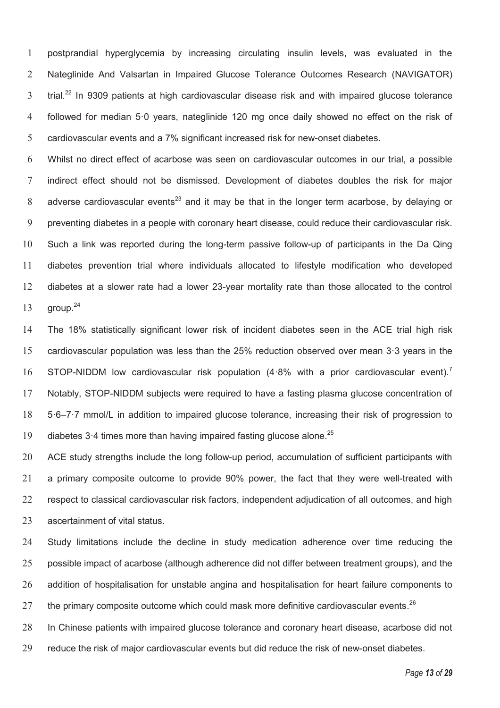postprandial hyperglycemia by increasing circulating insulin levels, was evaluated in the Nateglinide And Valsartan in Impaired Glucose Tolerance Outcomes Research (NAVIGATOR) trial.<sup>22</sup> In 9309 patients at high cardiovascular disease risk and with impaired glucose tolerance followed for median 5·0 years, nateglinide 120 mg once daily showed no effect on the risk of cardiovascular events and a 7% significant increased risk for new-onset diabetes.

Whilst no direct effect of acarbose was seen on cardiovascular outcomes in our trial, a possible indirect effect should not be dismissed. Development of diabetes doubles the risk for major 8 adverse cardiovascular events<sup>23</sup> and it may be that in the longer term acarbose, by delaying or preventing diabetes in a people with coronary heart disease, could reduce their cardiovascular risk. Such a link was reported during the long-term passive follow-up of participants in the Da Qing diabetes prevention trial where individuals allocated to lifestyle modification who developed diabetes at a slower rate had a lower 23-year mortality rate than those allocated to the control  $qroup.<sup>24</sup>$ 

The 18% statistically significant lower risk of incident diabetes seen in the ACE trial high risk cardiovascular population was less than the 25% reduction observed over mean 3·3 years in the STOP-NIDDM low cardiovascular risk population (4.8% with a prior cardiovascular event).<sup>7</sup> Notably, STOP-NIDDM subjects were required to have a fasting plasma glucose concentration of 5·6–7·7 mmol/L in addition to impaired glucose tolerance, increasing their risk of progression to 19 diabetes  $3.4$  times more than having impaired fasting glucose alone.<sup>25</sup>

20 ACE study strengths include the long follow-up period, accumulation of sufficient participants with a primary composite outcome to provide 90% power, the fact that they were well-treated with respect to classical cardiovascular risk factors, independent adjudication of all outcomes, and high ascertainment of vital status.

Study limitations include the decline in study medication adherence over time reducing the possible impact of acarbose (although adherence did not differ between treatment groups), and the addition of hospitalisation for unstable angina and hospitalisation for heart failure components to 27 the primary composite outcome which could mask more definitive cardiovascular events.

In Chinese patients with impaired glucose tolerance and coronary heart disease, acarbose did not

reduce the risk of major cardiovascular events but did reduce the risk of new-onset diabetes.

*Page 13 of 29*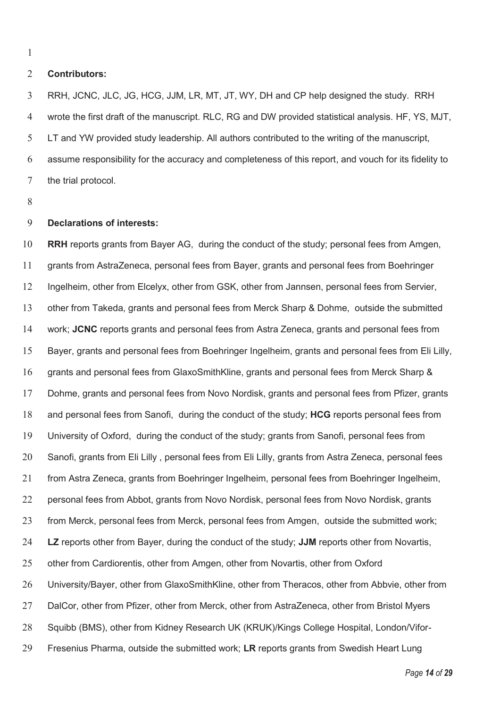### **Contributors:**

RRH, JCNC, JLC, JG, HCG, JJM, LR, MT, JT, WY, DH and CP help designed the study. RRH wrote the first draft of the manuscript. RLC, RG and DW provided statistical analysis. HF, YS, MJT, LT and YW provided study leadership. All authors contributed to the writing of the manuscript, assume responsibility for the accuracy and completeness of this report, and vouch for its fidelity to the trial protocol.

# **Declarations of interests:**

**RRH** reports grants from Bayer AG, during the conduct of the study; personal fees from Amgen, grants from AstraZeneca, personal fees from Bayer, grants and personal fees from Boehringer Ingelheim, other from Elcelyx, other from GSK, other from Jannsen, personal fees from Servier, other from Takeda, grants and personal fees from Merck Sharp & Dohme, outside the submitted work; **JCNC** reports grants and personal fees from Astra Zeneca, grants and personal fees from Bayer, grants and personal fees from Boehringer Ingelheim, grants and personal fees from Eli Lilly, grants and personal fees from GlaxoSmithKline, grants and personal fees from Merck Sharp & Dohme, grants and personal fees from Novo Nordisk, grants and personal fees from Pfizer, grants and personal fees from Sanofi, during the conduct of the study; **HCG** reports personal fees from University of Oxford, during the conduct of the study; grants from Sanofi, personal fees from Sanofi, grants from Eli Lilly , personal fees from Eli Lilly, grants from Astra Zeneca, personal fees from Astra Zeneca, grants from Boehringer Ingelheim, personal fees from Boehringer Ingelheim, personal fees from Abbot, grants from Novo Nordisk, personal fees from Novo Nordisk, grants from Merck, personal fees from Merck, personal fees from Amgen, outside the submitted work; **LZ** reports other from Bayer, during the conduct of the study; **JJM** reports other from Novartis, other from Cardiorentis, other from Amgen, other from Novartis, other from Oxford University/Bayer, other from GlaxoSmithKline, other from Theracos, other from Abbvie, other from DalCor, other from Pfizer, other from Merck, other from AstraZeneca, other from Bristol Myers Squibb (BMS), other from Kidney Research UK (KRUK)/Kings College Hospital, London/Vifor-Fresenius Pharma, outside the submitted work; **LR** reports grants from Swedish Heart Lung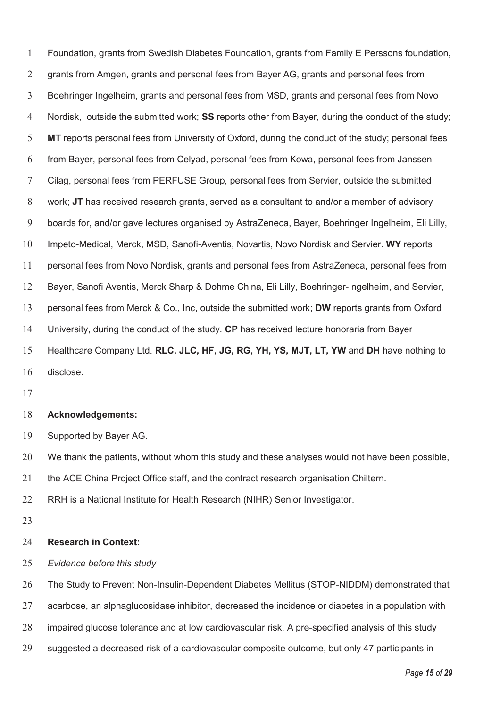Foundation, grants from Swedish Diabetes Foundation, grants from Family E Perssons foundation, grants from Amgen, grants and personal fees from Bayer AG, grants and personal fees from Boehringer Ingelheim, grants and personal fees from MSD, grants and personal fees from Novo Nordisk, outside the submitted work; **SS** reports other from Bayer, during the conduct of the study; **MT** reports personal fees from University of Oxford, during the conduct of the study; personal fees from Bayer, personal fees from Celyad, personal fees from Kowa, personal fees from Janssen Cilag, personal fees from PERFUSE Group, personal fees from Servier, outside the submitted work; **JT** has received research grants, served as a consultant to and/or a member of advisory boards for, and/or gave lectures organised by AstraZeneca, Bayer, Boehringer Ingelheim, Eli Lilly, Impeto-Medical, Merck, MSD, Sanofi-Aventis, Novartis, Novo Nordisk and Servier. **WY** reports personal fees from Novo Nordisk, grants and personal fees from AstraZeneca, personal fees from Bayer, Sanofi Aventis, Merck Sharp & Dohme China, Eli Lilly, Boehringer-Ingelheim, and Servier, personal fees from Merck & Co., Inc, outside the submitted work; **DW** reports grants from Oxford University, during the conduct of the study. **CP** has received lecture honoraria from Bayer Healthcare Company Ltd. **RLC, JLC, HF, JG, RG, YH, YS, MJT, LT, YW** and **DH** have nothing to disclose.

#### **Acknowledgements:**

Supported by Bayer AG.

20 We thank the patients, without whom this study and these analyses would not have been possible,

the ACE China Project Office staff, and the contract research organisation Chiltern.

RRH is a National Institute for Health Research (NIHR) Senior Investigator.

#### **Research in Context:**

*Evidence before this study* 

The Study to Prevent Non-Insulin-Dependent Diabetes Mellitus (STOP-NIDDM) demonstrated that

27 acarbose, an alphaglucosidase inhibitor, decreased the incidence or diabetes in a population with

- impaired glucose tolerance and at low cardiovascular risk. A pre-specified analysis of this study
- suggested a decreased risk of a cardiovascular composite outcome, but only 47 participants in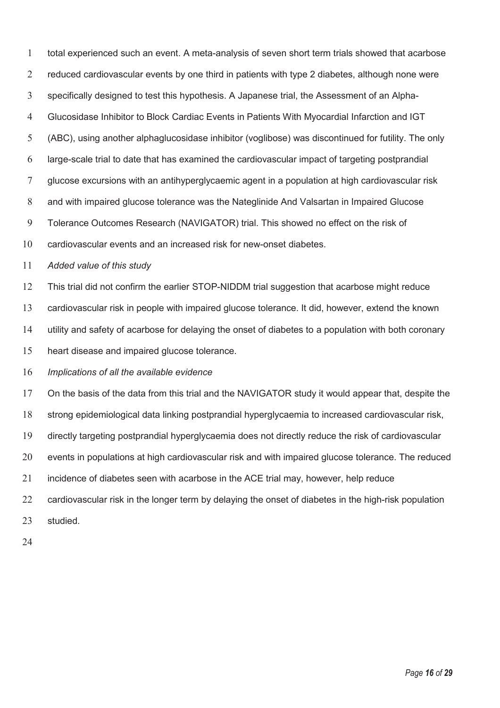total experienced such an event. A meta-analysis of seven short term trials showed that acarbose 2 reduced cardiovascular events by one third in patients with type 2 diabetes, although none were specifically designed to test this hypothesis. A Japanese trial, the Assessment of an Alpha-Glucosidase Inhibitor to Block Cardiac Events in Patients With Myocardial Infarction and IGT (ABC), using another alphaglucosidase inhibitor (voglibose) was discontinued for futility. The only large-scale trial to date that has examined the cardiovascular impact of targeting postprandial glucose excursions with an antihyperglycaemic agent in a population at high cardiovascular risk and with impaired glucose tolerance was the Nateglinide And Valsartan in Impaired Glucose Tolerance Outcomes Research (NAVIGATOR) trial. This showed no effect on the risk of cardiovascular events and an increased risk for new-onset diabetes. *Added value of this study*  This trial did not confirm the earlier STOP-NIDDM trial suggestion that acarbose might reduce cardiovascular risk in people with impaired glucose tolerance. It did, however, extend the known utility and safety of acarbose for delaying the onset of diabetes to a population with both coronary heart disease and impaired glucose tolerance. *Implications of all the available evidence*  On the basis of the data from this trial and the NAVIGATOR study it would appear that, despite the strong epidemiological data linking postprandial hyperglycaemia to increased cardiovascular risk, directly targeting postprandial hyperglycaemia does not directly reduce the risk of cardiovascular 20 events in populations at high cardiovascular risk and with impaired glucose tolerance. The reduced

incidence of diabetes seen with acarbose in the ACE trial may, however, help reduce

cardiovascular risk in the longer term by delaying the onset of diabetes in the high-risk population

studied.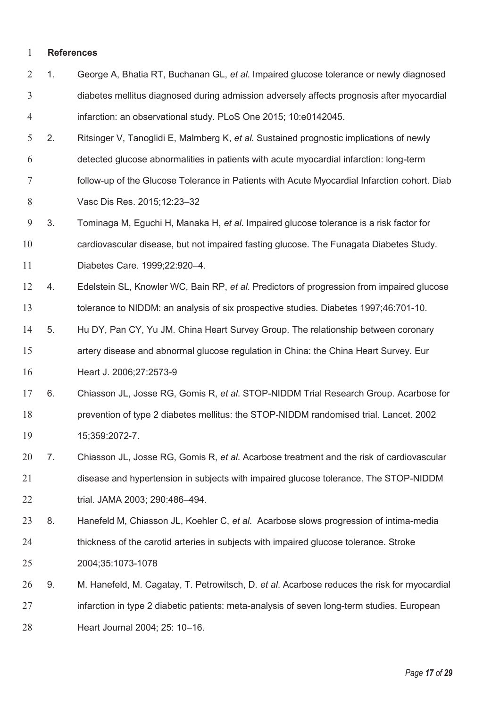#### **References**

- 1. George A, Bhatia RT, Buchanan GL, *et al*. Impaired glucose tolerance or newly diagnosed diabetes mellitus diagnosed during admission adversely affects prognosis after myocardial infarction: an observational study. PLoS One 2015; 10:e0142045.
- 2. Ritsinger V, Tanoglidi E, Malmberg K, *et al*. Sustained prognostic implications of newly detected glucose abnormalities in patients with acute myocardial infarction: long-term follow-up of the Glucose Tolerance in Patients with Acute Myocardial Infarction cohort. Diab Vasc Dis Res. 2015;12:23–32
- 3. Tominaga M, Eguchi H, Manaka H, *et al*. Impaired glucose tolerance is a risk factor for

cardiovascular disease, but not impaired fasting glucose. The Funagata Diabetes Study.

Diabetes Care. 1999;22:920–4.

- 4. Edelstein SL, Knowler WC, Bain RP, *et al*. Predictors of progression from impaired glucose tolerance to NIDDM: an analysis of six prospective studies. Diabetes 1997;46:701-10.
- 5. Hu DY, Pan CY, Yu JM. China Heart Survey Group. The relationship between coronary artery disease and abnormal glucose regulation in China: the China Heart Survey. Eur

Heart J. 2006;27:2573-9

- 6. Chiasson JL, Josse RG, Gomis R, *et al*. STOP-NIDDM Trial Research Group. Acarbose for prevention of type 2 diabetes mellitus: the STOP-NIDDM randomised trial. Lancet. 2002 15;359:2072-7.
- 7. Chiasson JL, Josse RG, Gomis R, *et al*. Acarbose treatment and the risk of cardiovascular disease and hypertension in subjects with impaired glucose tolerance. The STOP-NIDDM trial. JAMA 2003; 290:486–494.
- 8. Hanefeld M, Chiasson JL, Koehler C, *et al*. Acarbose slows progression of intima-media thickness of the carotid arteries in subjects with impaired glucose tolerance. Stroke 2004;35:1073-1078
- 9. M. Hanefeld, M. Cagatay, T. Petrowitsch, D. *et al*. Acarbose reduces the risk for myocardial infarction in type 2 diabetic patients: meta-analysis of seven long-term studies. European Heart Journal 2004; 25: 10–16.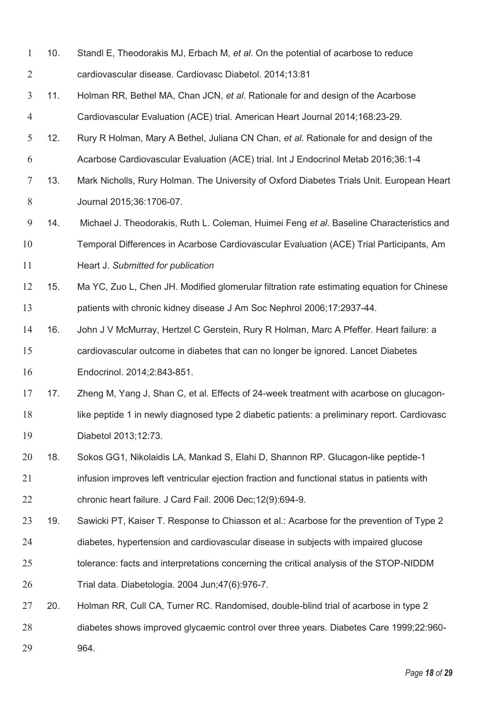| 10 <sub>1</sub> | Standl E, Theodorakis MJ, Erbach M, et al. On the potential of acarbose to reduce |
|-----------------|-----------------------------------------------------------------------------------|
|                 | cardiovascular disease. Cardiovasc Diabetol. 2014;13:81                           |

- 11. Holman RR, Bethel MA, Chan JCN, *et al*. Rationale for and design of the Acarbose Cardiovascular Evaluation (ACE) trial. American Heart Journal 2014;168:23-29.
- 12. Rury R Holman, Mary A Bethel, Juliana CN Chan, *et al*. Rationale for and design of the Acarbose Cardiovascular Evaluation (ACE) trial. Int J Endocrinol Metab 2016;36:1-4
- 13. Mark Nicholls, Rury Holman. The University of Oxford Diabetes Trials Unit. European Heart Journal 2015;36:1706-07.
- 14. Michael J. Theodorakis, Ruth L. Coleman, Huimei Feng *et al*. Baseline Characteristics and Temporal Differences in Acarbose Cardiovascular Evaluation (ACE) Trial Participants, Am

Heart J. *Submitted for publication*

- 15. Ma YC, Zuo L, Chen JH. Modified glomerular filtration rate estimating equation for Chinese patients with chronic kidney disease J Am Soc Nephrol 2006;17:2937-44.
- 16. John J V McMurray, Hertzel C Gerstein, Rury R Holman, Marc A Pfeffer. Heart failure: a cardiovascular outcome in diabetes that can no longer be ignored. Lancet Diabetes Endocrinol. 2014;2:843-851.
- 17 17. Zheng M, Yang J, Shan C, et al. Effects of 24-week treatment with acarbose on glucagon-18 like peptide 1 in newly diagnosed type 2 diabetic patients: a preliminary report. Cardiovasc Diabetol 2013;12:73.
- 18. Sokos GG1, Nikolaidis LA, Mankad S, Elahi D, Shannon RP. Glucagon-like peptide-1 infusion improves left ventricular ejection fraction and functional status in patients with chronic heart failure. J Card Fail. 2006 Dec;12(9):694-9.
- 19. Sawicki PT, Kaiser T. Response to Chiasson et al.: Acarbose for the prevention of Type 2
- diabetes, hypertension and cardiovascular disease in subjects with impaired glucose
- tolerance: facts and interpretations concerning the critical analysis of the STOP-NIDDM
- Trial data. Diabetologia. 2004 Jun;47(6):976-7.
- 20. Holman RR, Cull CA, Turner RC. Randomised, double-blind trial of acarbose in type 2 diabetes shows improved glycaemic control over three years. Diabetes Care 1999;22:960-
- 964.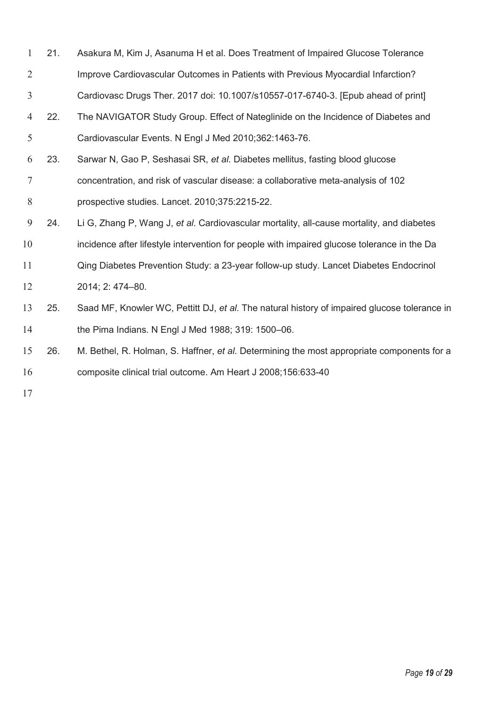- 21. Asakura M, Kim J, Asanuma H et al. Does Treatment of Impaired Glucose Tolerance Improve Cardiovascular Outcomes in Patients with Previous Myocardial Infarction?
- Cardiovasc Drugs Ther. 2017 doi: 10.1007/s10557-017-6740-3. [Epub ahead of print]
- 22. The NAVIGATOR Study Group. Effect of Nateglinide on the Incidence of Diabetes and Cardiovascular Events. N Engl J Med 2010;362:1463-76.
- 23. Sarwar N, Gao P, Seshasai SR, *et al*. Diabetes mellitus, fasting blood glucose concentration, and risk of vascular disease: a collaborative meta-analysis of 102 prospective studies. Lancet. 2010;375:2215-22.
- 24. Li G, Zhang P, Wang J, *et al*. Cardiovascular mortality, all-cause mortality, and diabetes
- incidence after lifestyle intervention for people with impaired glucose tolerance in the Da
- Qing Diabetes Prevention Study: a 23-year follow-up study. Lancet Diabetes Endocrinol 2014; 2: 474–80.
- 25. Saad MF, Knowler WC, Pettitt DJ, *et al*. The natural history of impaired glucose tolerance in the Pima Indians. N Engl J Med 1988; 319: 1500–06.
- 26. M. Bethel, R. Holman, S. Haffner, *et al.* Determining the most appropriate components for a composite clinical trial outcome. Am Heart J 2008;156:633-40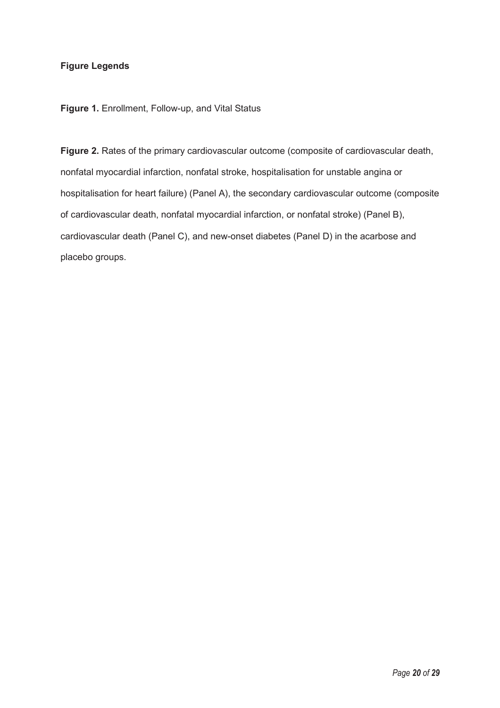# **Figure Legends**

**Figure 1.** Enrollment, Follow-up, and Vital Status

**Figure 2.** Rates of the primary cardiovascular outcome (composite of cardiovascular death, nonfatal myocardial infarction, nonfatal stroke, hospitalisation for unstable angina or hospitalisation for heart failure) (Panel A), the secondary cardiovascular outcome (composite of cardiovascular death, nonfatal myocardial infarction, or nonfatal stroke) (Panel B), cardiovascular death (Panel C), and new-onset diabetes (Panel D) in the acarbose and placebo groups.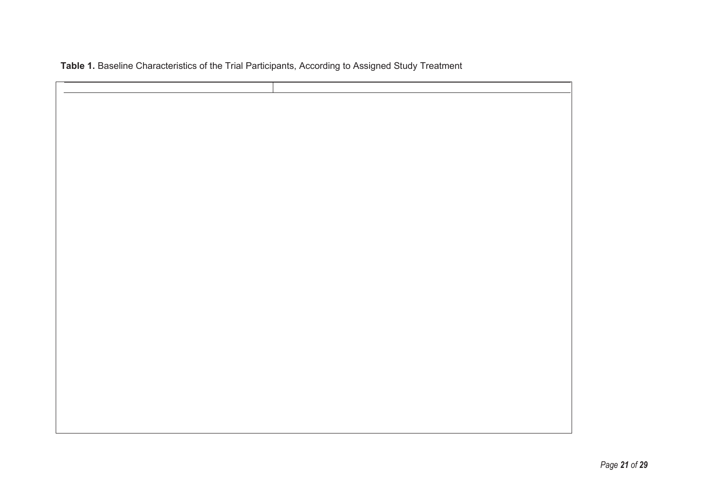|  | Table 1. Baseline Characteristics of the Trial Participants, According to Assigned Study Treatment |  |  |  |  |
|--|----------------------------------------------------------------------------------------------------|--|--|--|--|
|  |                                                                                                    |  |  |  |  |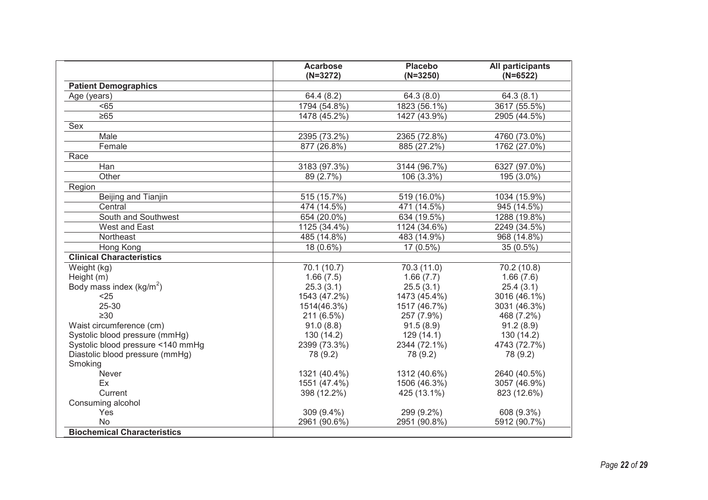|                                      | <b>Acarbose</b><br>$(N=3272)$ | <b>Placebo</b><br>$(N=3250)$ | All participants<br>$(N=6522)$ |
|--------------------------------------|-------------------------------|------------------------------|--------------------------------|
| <b>Patient Demographics</b>          |                               |                              |                                |
| Age (years)                          | 64.4 (8.2)                    | 64.3(8.0)                    | 64.3(8.1)                      |
| < 65                                 | 1794 (54.8%)                  | 1823 (56.1%)                 | 3617 (55.5%)                   |
| $\geq 65$                            | 1478 (45.2%)                  | 1427 (43.9%)                 | 2905 (44.5%)                   |
| Sex                                  |                               |                              |                                |
| Male                                 | 2395 (73.2%)                  | 2365 (72.8%)                 | 4760 (73.0%)                   |
| Female                               | 877 (26.8%)                   | 885 (27.2%)                  | 1762 (27.0%)                   |
| Race                                 |                               |                              |                                |
| Han                                  | 3183 (97.3%)                  | 3144 (96.7%)                 | 6327 (97.0%)                   |
| Other                                | 89 (2.7%)                     | 106 (3.3%)                   | 195 (3.0%)                     |
| Region                               |                               |                              |                                |
| Beijing and Tianjin                  | 515 (15.7%)                   | 519 (16.0%)                  | 1034 (15.9%)                   |
| Central                              | 474 (14.5%)                   | 471 (14.5%)                  | 945 (14.5%)                    |
| South and Southwest                  | 654 (20.0%)                   | 634 (19.5%)                  | 1288 (19.8%)                   |
| West and East                        | 1125 (34.4%)                  | 1124 (34.6%)                 | 2249 (34.5%)                   |
| Northeast                            | 485 (14.8%)                   | 483 (14.9%)                  | 968 (14.8%)                    |
| <b>Hong Kong</b>                     | 18 (0.6%)                     | 17 (0.5%)                    | $35(0.5\%)$                    |
| <b>Clinical Characteristics</b>      |                               |                              |                                |
| Weight (kg)                          | 70.1 (10.7)                   | 70.3 (11.0)                  | 70.2 (10.8)                    |
| Height (m)                           | 1.66(7.5)                     | 1.66(7.7)                    | 1.66(7.6)                      |
| Body mass index (kg/m <sup>2</sup> ) | 25.3(3.1)                     | 25.5(3.1)                    | 25.4(3.1)                      |
| $25$                                 | 1543 (47.2%)                  | 1473 (45.4%)                 | 3016 (46.1%)                   |
| 25-30                                | 1514(46.3%)                   | 1517 (46.7%)                 | 3031 (46.3%)                   |
| $\geq 30$                            | 211 (6.5%)                    | 257 (7.9%)                   | 468 (7.2%)                     |
| Waist circumference (cm)             | 91.0(8.8)                     | 91.5(8.9)                    | 91.2(8.9)                      |
| Systolic blood pressure (mmHg)       | 130(14.2)                     | 129(14.1)                    | 130 (14.2)                     |
| Systolic blood pressure <140 mmHg    | 2399 (73.3%)                  | 2344 (72.1%)                 | 4743 (72.7%)                   |
| Diastolic blood pressure (mmHg)      | 78 (9.2)                      | 78 (9.2)                     | 78 (9.2)                       |
| Smoking                              |                               |                              |                                |
| Never                                | 1321 (40.4%)                  | 1312 (40.6%)                 | 2640 (40.5%)                   |
| Ex                                   | 1551 (47.4%)                  | 1506 (46.3%)                 | 3057 (46.9%)                   |
| Current                              | 398 (12.2%)                   | 425 (13.1%)                  | 823 (12.6%)                    |
| Consuming alcohol                    |                               |                              |                                |
| Yes                                  | $309(9.4\%)$                  | 299 (9.2%)                   | 608 (9.3%)                     |
| <b>No</b>                            | 2961 (90.6%)                  | 2951 (90.8%)                 | 5912 (90.7%)                   |
| <b>Biochemical Characteristics</b>   |                               |                              |                                |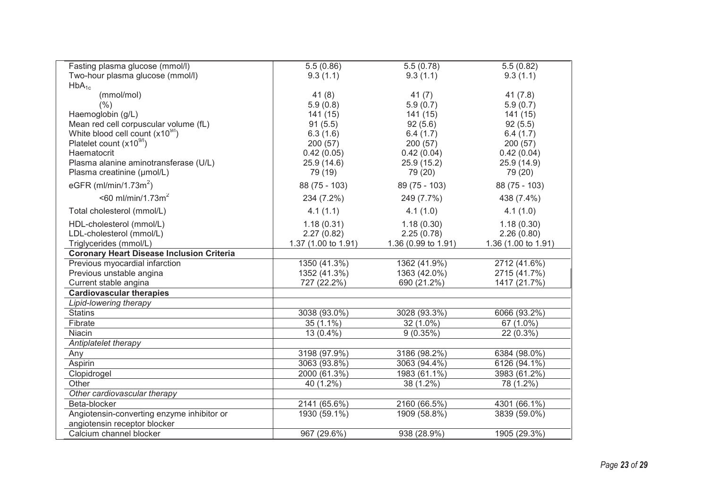| Fasting plasma glucose (mmol/l)                  | 5.5(0.86)           | 5.5(0.78)           | 5.5(0.82)           |
|--------------------------------------------------|---------------------|---------------------|---------------------|
| Two-hour plasma glucose (mmol/l)                 | 9.3(1.1)            | 9.3(1.1)            | 9.3(1.1)            |
| $HbA_{1c}$                                       |                     |                     |                     |
| (mmol/mol)                                       | 41(8)               | 41(7)               | 41(7.8)             |
| (% )                                             | 5.9(0.8)            | 5.9(0.7)            | 5.9(0.7)            |
| Haemoglobin (g/L)                                | 141(15)             | 141(15)             | 141 (15)            |
| Mean red cell corpuscular volume (fL)            | 91(5.5)             | 92(5.6)             | 92(5.5)             |
| White blood cell count $(x10^{9/1})$             | 6.3(1.6)            | 6.4(1.7)            | 6.4(1.7)            |
| Platelet count (x10 <sup>9/1</sup> )             | 200 (57)            | 200(57)             | 200(57)             |
| Haematocrit                                      | 0.42(0.05)          | 0.42(0.04)          | 0.42(0.04)          |
| Plasma alanine aminotransferase (U/L)            | 25.9(14.6)          | 25.9(15.2)          | 25.9 (14.9)         |
| Plasma creatinine (µmol/L)                       | 79 (19)             | 79 (20)             | 79 (20)             |
| eGFR (ml/min/1.73 $m2$ )                         | 88 (75 - 103)       | 89 (75 - 103)       | 88 (75 - 103)       |
| $<$ 60 ml/min/1.73m <sup>2</sup>                 | 234 (7.2%)          | 249 (7.7%)          | 438 (7.4%)          |
| Total cholesterol (mmol/L)                       | 4.1(1.1)            | 4.1(1.0)            | 4.1(1.0)            |
| HDL-cholesterol (mmol/L)                         | 1.18(0.31)          | 1.18(0.30)          | 1.18(0.30)          |
| LDL-cholesterol (mmol/L)                         | 2.27(0.82)          | 2.25(0.78)          | 2.26(0.80)          |
| Triglycerides (mmol/L)                           | 1.37 (1.00 to 1.91) | 1.36 (0.99 to 1.91) | 1.36 (1.00 to 1.91) |
| <b>Coronary Heart Disease Inclusion Criteria</b> |                     |                     |                     |
| Previous myocardial infarction                   | 1350 (41.3%)        | 1362 (41.9%)        | 2712 (41.6%)        |
| Previous unstable angina                         | 1352 (41.3%)        | 1363 (42.0%)        | 2715 (41.7%)        |
| Current stable angina                            | 727 (22.2%)         | 690 (21.2%)         | 1417 (21.7%)        |
| <b>Cardiovascular therapies</b>                  |                     |                     |                     |
| Lipid-lowering therapy                           |                     |                     |                     |
| <b>Statins</b>                                   | 3038 (93.0%)        | 3028 (93.3%)        | 6066 (93.2%)        |
| Fibrate                                          | 35 (1.1%)           | 32 (1.0%)           | 67 (1.0%)           |
| Niacin                                           | 13 (0.4%)           | 9(0.35%)            | 22 (0.3%)           |
| Antiplatelet therapy                             |                     |                     |                     |
| Any                                              | 3198 (97.9%)        | 3186 (98.2%)        | 6384 (98.0%)        |
| Aspirin                                          | 3063 (93.8%)        | 3063 (94.4%)        | 6126 (94.1%)        |
| Clopidrogel                                      | 2000 (61.3%)        | 1983 (61.1%)        | 3983 (61.2%)        |
| Other                                            | 40 (1.2%)           | 38 (1.2%)           | 78 (1.2%)           |
| Other cardiovascular therapy                     |                     |                     |                     |
| Beta-blocker                                     | 2141 (65.6%)        | 2160 (66.5%)        | 4301 (66.1%)        |
| Angiotensin-converting enzyme inhibitor or       | 1930 (59.1%)        | 1909 (58.8%)        | 3839 (59.0%)        |
| angiotensin receptor blocker                     |                     |                     |                     |
| Calcium channel blocker                          | 967 (29.6%)         | 938 (28.9%)         | 1905 (29.3%)        |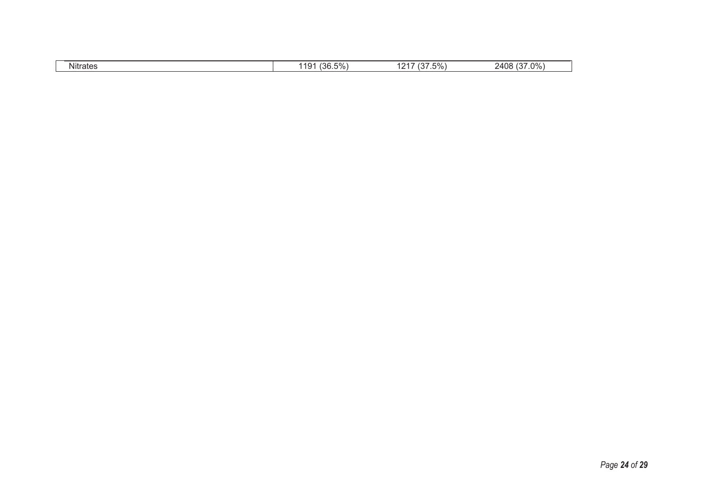| .<br><b>Nitrates</b> | 126E<br>$\sim$<br>1101<br>۰r<br>$.1/0$ '<br>,,,,<br>$\sqrt{2}$ | $\sim$<br>5%<br>. | $.0\%$<br>$\cdots$ $\sim$<br>2408<br>ur |
|----------------------|----------------------------------------------------------------|-------------------|-----------------------------------------|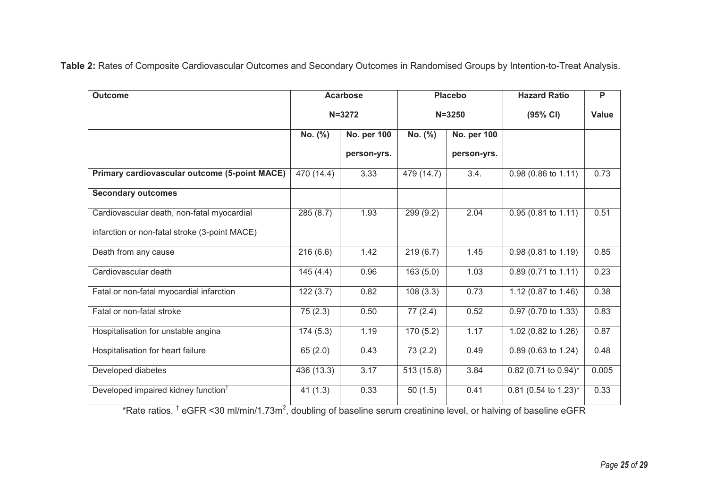**Table 2:** Rates of Composite Cardiovascular Outcomes and Secondary Outcomes in Randomised Groups by Intention-to-Treat Analysis.

|            |             |                        |             | <b>Hazard Ratio</b>                | P     |
|------------|-------------|------------------------|-------------|------------------------------------|-------|
| $N = 3272$ |             | $N = 3250$             |             | (95% CI)                           | Value |
| No. (%)    | No. per 100 | No. (%)<br>No. per 100 |             |                                    |       |
|            | person-yrs. |                        | person-yrs. |                                    |       |
| 470(14.4)  | 3.33        | 479 (14.7)             | 3.4.        | 0.98 (0.86 to 1.11)                | 0.73  |
|            |             |                        |             |                                    |       |
| 285(8.7)   | 1.93        | 299 (9.2)              | 2.04        | 0.95 (0.81 to 1.11)                | 0.51  |
|            |             |                        |             |                                    |       |
| 216(6.6)   | 1.42        | 219(6.7)               | 1.45        | $0.98(0.81 \text{ to } 1.19)$      | 0.85  |
| 145(4.4)   | 0.96        | 163(5.0)               | 1.03        | $0.89(0.71 \text{ to } 1.11)$      | 0.23  |
| 122(3.7)   | 0.82        | 108(3.3)               | 0.73        | 1.12 (0.87 to 1.46)                | 0.38  |
| 75(2.3)    | 0.50        | 77(2.4)                | 0.52        | 0.97 (0.70 to 1.33)                | 0.83  |
| 174(5.3)   | 1.19        | 170(5.2)               | 1.17        | 1.02 $(0.82 \text{ to } 1.26)$     | 0.87  |
| 65(2.0)    | 0.43        | 73(2.2)                | 0.49        | 0.89 (0.63 to 1.24)                | 0.48  |
| 436 (13.3) | 3.17        | 513 (15.8)             | 3.84        | $0.82$ (0.71 to 0.94)*             | 0.005 |
| 41(1.3)    | 0.33        | 50(1.5)                | 0.41        | $0.81$ (0.54 to 1.23) <sup>*</sup> | 0.33  |
|            |             | <b>Acarbose</b>        |             | <b>Placebo</b>                     |       |

\*Rate ratios. <sup>†</sup> eGFR <30 ml/min/1.73m<sup>2</sup>, doubling of baseline serum creatinine level, or halving of baseline eGFR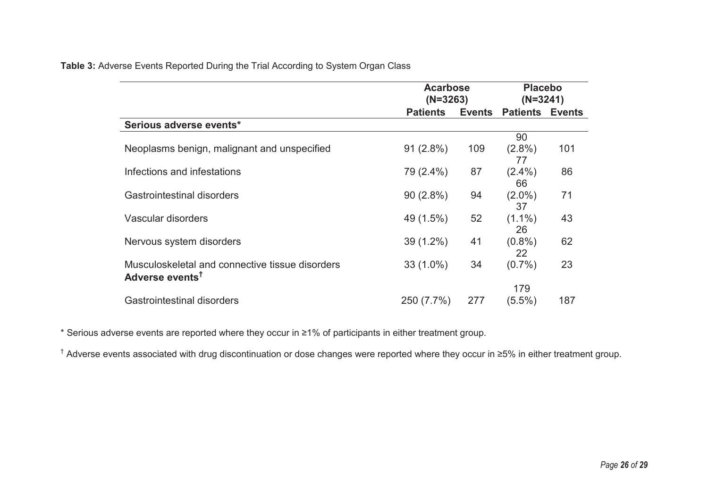| Table 3: Adverse Events Reported During the Trial According to System Organ Class |  |  |  |  |  |  |  |
|-----------------------------------------------------------------------------------|--|--|--|--|--|--|--|
|-----------------------------------------------------------------------------------|--|--|--|--|--|--|--|

|                                                                                | <b>Acarbose</b><br>$(N=3263)$ |        | <b>Placebo</b><br>$(N=3241)$ |     |
|--------------------------------------------------------------------------------|-------------------------------|--------|------------------------------|-----|
|                                                                                | <b>Patients</b>               | Events | <b>Patients Events</b>       |     |
| Serious adverse events*                                                        |                               |        |                              |     |
|                                                                                |                               |        | 90                           |     |
| Neoplasms benign, malignant and unspecified                                    | $91(2.8\%)$                   | 109    | $(2.8\%)$<br>77              | 101 |
| Infections and infestations                                                    | 79 (2.4%)                     | 87     | $(2.4\%)$<br>66              | 86  |
| Gastrointestinal disorders                                                     | $90(2.8\%)$                   | 94     | $(2.0\%)$<br>37              | 71  |
| Vascular disorders                                                             | 49 (1.5%)                     | 52     | $(1.1\%)$<br>26              | 43  |
| Nervous system disorders                                                       | $39(1.2\%)$                   | 41     | $(0.8\%)$<br>22              | 62  |
| Musculoskeletal and connective tissue disorders<br>Adverse events <sup>t</sup> | $33(1.0\%)$                   | 34     | $(0.7\%)$                    | 23  |
|                                                                                |                               |        | 179                          |     |
| <b>Gastrointestinal disorders</b>                                              | 250 (7.7%)                    | 277    | $(5.5\%)$                    | 187 |

\* Serious adverse events are reported where they occur in ≥1% of participants in either treatment group.

† Adverse events associated with drug discontinuation or dose changes were reported where they occur in ≥5% in either treatment group.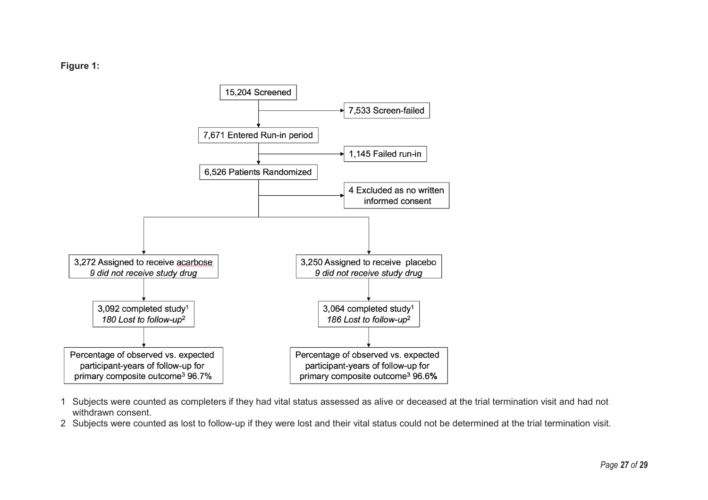# **Figure 1:**



- 1 Subjects were counted as completers if they had vital status assessed as alive or deceased at the trial termination visit and had not withdrawn consent.
- 2 Subjects were counted as lost to follow-up if they were lost and their vital status could not be determined at the trial termination visit.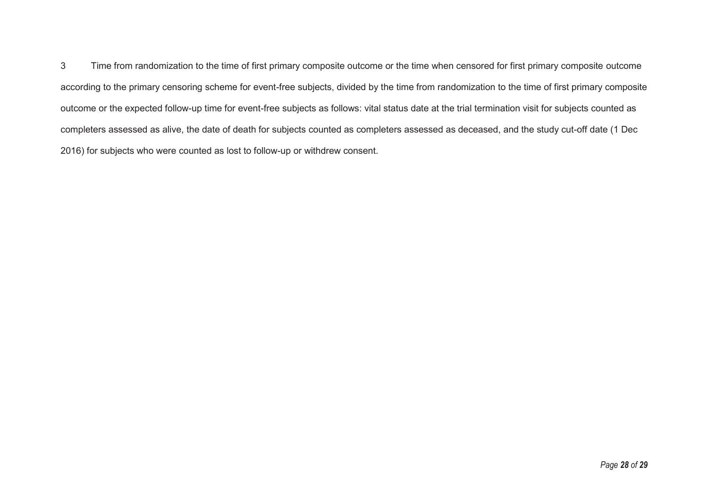3 Time from randomization to the time of first primary composite outcome or the time when censored for first primary composite outcome according to the primary censoring scheme for event-free subjects, divided by the time from randomization to the time of first primary composite outcome or the expected follow-up time for event-free subjects as follows: vital status date at the trial termination visit for subjects counted as completers assessed as alive, the date of death for subjects counted as completers assessed as deceased, and the study cut-off date (1 Dec 2016) for subjects who were counted as lost to follow-up or withdrew consent.